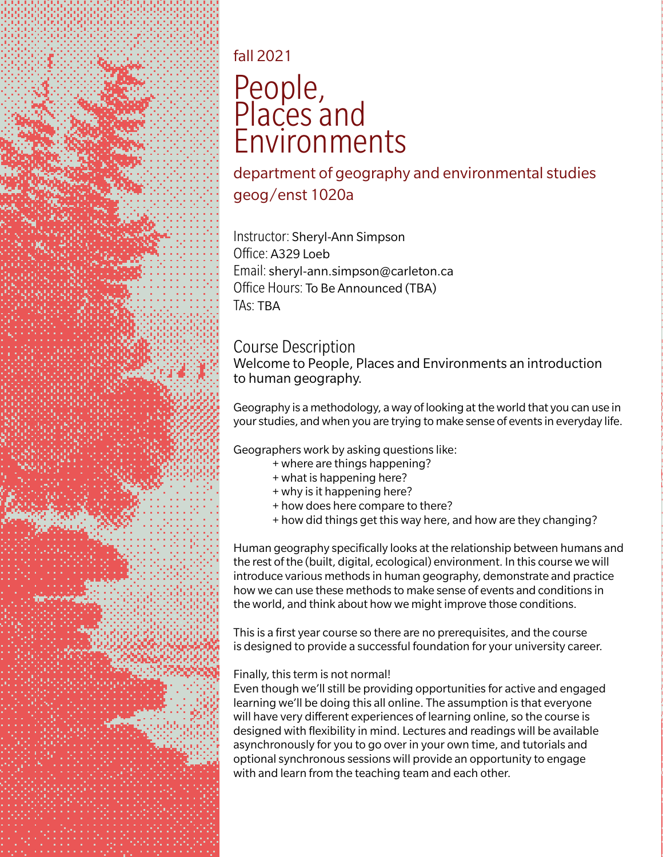

# fall 2021

# People, Places and Environments

department of geography and environmental studies geog/enst 1020a

Instructor: Sheryl-Ann Simpson Office: A329 Loeb Email: sheryl-ann.simpson@carleton.ca Office Hours: To Be Announced (TBA) TAs: TBA

### Course Description

Welcome to People, Places and Environments an introduction to human geography.

Geography is a methodology, a way of looking at the world that you can use in your studies, and when you are trying to make sense of events in everyday life.

Geographers work by asking questions like:

- + where are things happening?
- + what is happening here?
- + why is it happening here?
- + how does here compare to there?
- + how did things get this way here, and how are they changing?

Human geography specifically looks at the relationship between humans and the rest of the (built, digital, ecological) environment. In this course we will introduce various methods in human geography, demonstrate and practice how we can use these methods to make sense of events and conditions in the world, and think about how we might improve those conditions.

This is a first year course so there are no prerequisites, and the course is designed to provide a successful foundation for your university career.

### Finally, this term is not normal!

Even though we'll still be providing opportunities for active and engaged learning we'll be doing this all online. The assumption is that everyone will have very different experiences of learning online, so the course is designed with flexibility in mind. Lectures and readings will be available asynchronously for you to go over in your own time, and tutorials and optional synchronous sessions will provide an opportunity to engage with and learn from the teaching team and each other.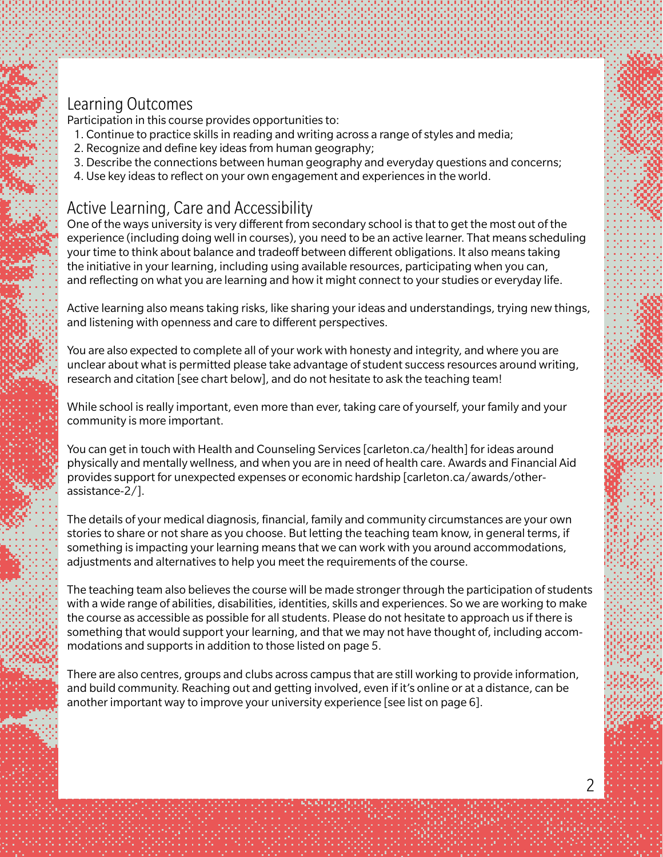### Learning Outcomes

Participation in this course provides opportunities to:

- 1. Continue to practice skills in reading and writing across a range of styles and media;
- 2. Recognize and define key ideas from human geography;
- 3. Describe the connections between human geography and everyday questions and concerns;
- 4. Use key ideas to reflect on your own engagement and experiences in the world.

### Active Learning, Care and Accessibility

One of the ways university is very different from secondary school is that to get the most out of the experience (including doing well in courses), you need to be an active learner. That means scheduling your time to think about balance and tradeoff between different obligations. It also means taking the initiative in your learning, including using available resources, participating when you can, and reflecting on what you are learning and how it might connect to your studies or everyday life.

Active learning also means taking risks, like sharing your ideas and understandings, trying new things, and listening with openness and care to different perspectives.

You are also expected to complete all of your work with honesty and integrity, and where you are unclear about what is permitted please take advantage of student success resources around writing, research and citation [see chart below], and do not hesitate to ask the teaching team!

While school is really important, even more than ever, taking care of yourself, your family and your community is more important.

You can get in touch with Health and Counseling Services [carleton.ca/health] for ideas around physically and mentally wellness, and when you are in need of health care. Awards and Financial Aid provides support for unexpected expenses or economic hardship [carleton.ca/awards/otherassistance-2/].

The details of your medical diagnosis, financial, family and community circumstances are your own stories to share or not share as you choose. But letting the teaching team know, in general terms, if something is impacting your learning means that we can work with you around accommodations, adjustments and alternatives to help you meet the requirements of the course.

The teaching team also believes the course will be made stronger through the participation of students with a wide range of abilities, disabilities, identities, skills and experiences. So we are working to make the course as accessible as possible for all students. Please do not hesitate to approach us if there is something that would support your learning, and that we may not have thought of, including accommodations and supports in addition to those listed on page 5.

There are also centres, groups and clubs across campus that are still working to provide information, and build community. Reaching out and getting involved, even if it's online or at a distance, can be another important way to improve your university experience [see list on page 6].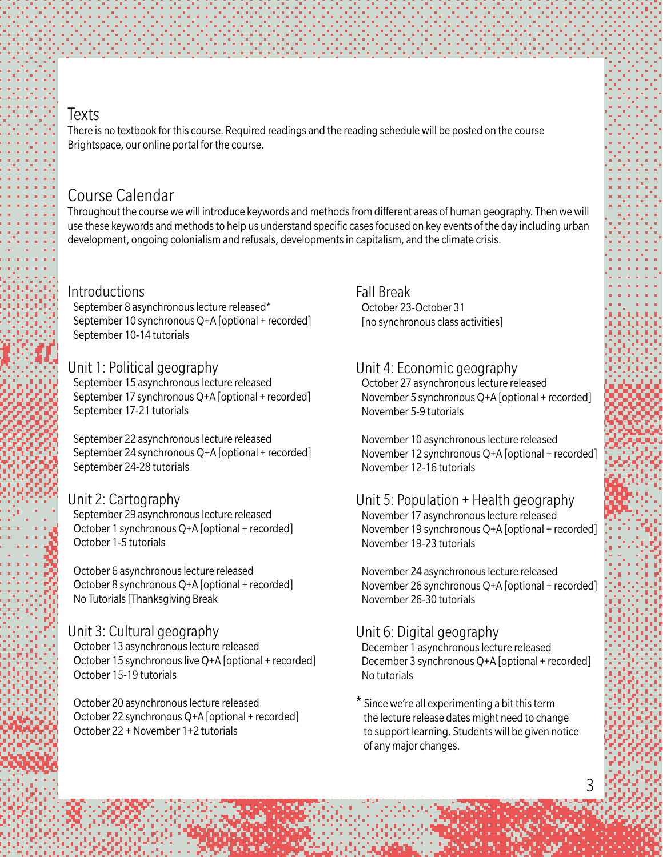### **Texts**

There is no textbook for this course. Required readings and the reading schedule will be posted on the course Brightspace, our online portal for the course.

### Course Calendar

Throughout the course we will introduce keywords and methods from different areas of human geography. Then we will use these keywords and methods to help us understand specific cases focused on key events of the day including urban development, ongoing colonialism and refusals, developments in capitalism, and the climate crisis.

#### Introductions

 September 8 asynchronous lecture released\* September 10 synchronous Q+A [optional + recorded] September 10-14 tutorials

#### Unit 1: Political geography

 September 15 asynchronous lecture released September 17 synchronous Q+A [optional + recorded] September 17-21 tutorials

 September 22 asynchronous lecture released September 24 synchronous Q+A [optional + recorded] September 24-28 tutorials

#### Unit 2: Cartography

 September 29 asynchronous lecture released October 1 synchronous Q+A [optional + recorded] October 1-5 tutorials

 October 6 asynchronous lecture released October 8 synchronous Q+A [optional + recorded] No Tutorials [Thanksgiving Break

#### Unit 3: Cultural geography

 October 13 asynchronous lecture released October 15 synchronous live Q+A [optional + recorded] October 15-19 tutorials

 October 20 asynchronous lecture released October 22 synchronous Q+A [optional + recorded] October 22 + November 1+2 tutorials

Fall Break October 23-October 31 [no synchronous class activities]

#### Unit 4: Economic geography

 October 27 asynchronous lecture released November 5 synchronous Q+A [optional + recorded] November 5-9 tutorials

 November 10 asynchronous lecture released November 12 synchronous Q+A [optional + recorded] November 12-16 tutorials

Unit 5: Population + Health geography November 17 asynchronous lecture released November 19 synchronous Q+A [optional + recorded] November 19-23 tutorials

 November 24 asynchronous lecture released November 26 synchronous Q+A [optional + recorded] November 26-30 tutorials

#### Unit 6: Digital geography

 December 1 asynchronous lecture released December 3 synchronous Q+A [optional + recorded] No tutorials

\* Since we're all experimenting a bit this term the lecture release dates might need to change to support learning. Students will be given notice of any major changes.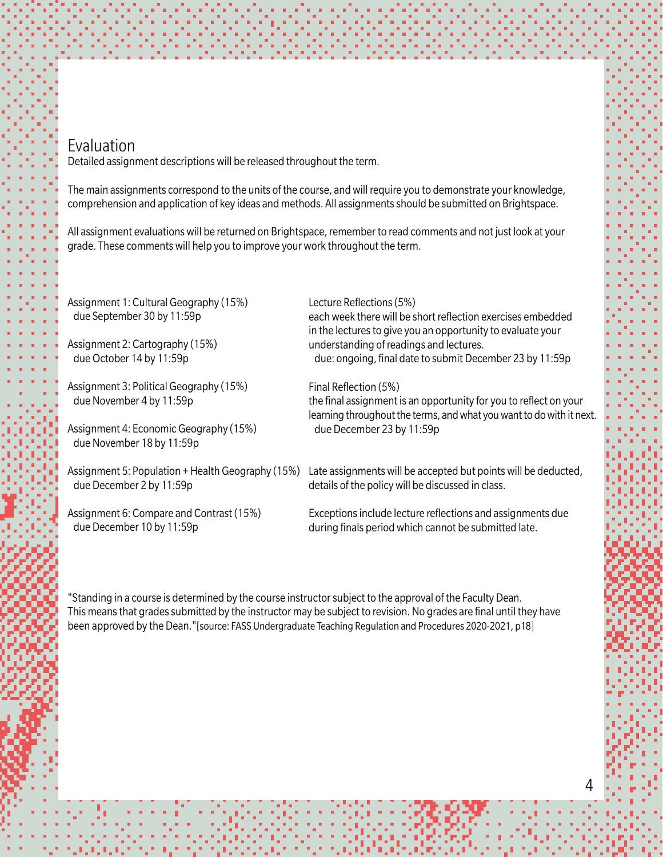### Evaluation

Detailed assignment descriptions will be released throughout the term.

The main assignments correspond to the units of the course, and will require you to demonstrate your knowledge, comprehension and application of key ideas and methods. All assignments should be submitted on Brightspace.

All assignment evaluations will be returned on Brightspace, remember to read comments and not just look at your grade. These comments will help you to improve your work throughout the term.

Assignment 1: Cultural Geography (15%) due September 30 by 11:59p Assignment 2: Cartography (15%) due October 14 by 11:59p Assignment 3: Political Geography (15%) due November 4 by 11:59p Assignment 4: Economic Geography (15%) due November 18 by 11:59p Assignment 5: Population + Health Geography (15%) due December 2 by 11:59p Assignment 6: Compare and Contrast (15%) due December 10 by 11:59p Lecture Reflections (5%) each week there will be short reflection exercises embedded in the lectures to give you an opportunity to evaluate your understanding of readings and lectures. due: ongoing, final date to submit December 23 by 11:59p Final Reflection (5%) the final assignment is an opportunity for you to reflect on your learning throughout the terms, and what you want to do with it next. due December 23 by 11:59p Late assignments will be accepted but points will be deducted, details of the policy will be discussed in class. Exceptions include lecture reflections and assignments due during finals period which cannot be submitted late.

"Standing in a course is determined by the course instructor subject to the approval of the Faculty Dean. This means that grades submitted by the instructor may be subject to revision. No grades are final until they have been approved by the Dean."[source: FASS Undergraduate Teaching Regulation and Procedures 2020-2021, p18]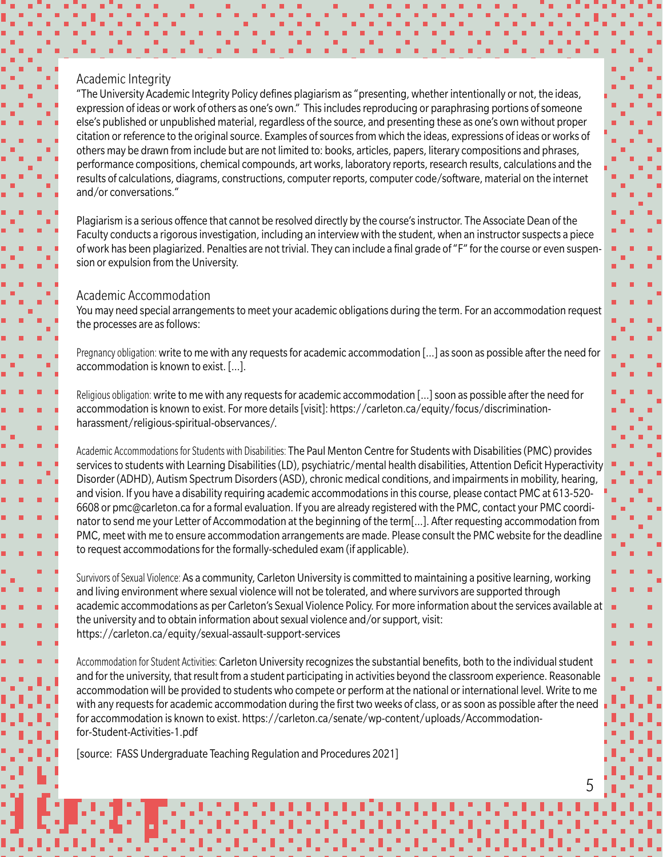#### Academic Integrity

"The University Academic Integrity Policy defines plagiarism as "presenting, whether intentionally or not, the ideas, expression of ideas or work of others as one's own." This includes reproducing or paraphrasing portions of someone else's published or unpublished material, regardless of the source, and presenting these as one's own without proper citation or reference to the original source. Examples of sources from which the ideas, expressions of ideas or works of others may be drawn from include but are not limited to: books, articles, papers, literary compositions and phrases, performance compositions, chemical compounds, art works, laboratory reports, research results, calculations and the results of calculations, diagrams, constructions, computer reports, computer code/software, material on the internet and/or conversations."

Plagiarism is a serious offence that cannot be resolved directly by the course's instructor. The Associate Dean of the Faculty conducts a rigorous investigation, including an interview with the student, when an instructor suspects a piece of work has been plagiarized. Penalties are not trivial. They can include a final grade of "F" for the course or even suspension or expulsion from the University.

#### Academic Accommodation

You may need special arrangements to meet your academic obligations during the term. For an accommodation request the processes are as follows:

Pregnancy obligation: write to me with any requests for academic accommodation [...] as soon as possible after the need for accommodation is known to exist. […].

Religious obligation: write to me with any requests for academic accommodation […] soon as possible after the need for accommodation is known to exist. For more details [visit]: https://carleton.ca/equity/focus/discriminationharassment/religious-spiritual-observances/.

Academic Accommodations for Students with Disabilities: The Paul Menton Centre for Students with Disabilities (PMC) provides services to students with Learning Disabilities (LD), psychiatric/mental health disabilities, Attention Deficit Hyperactivity Disorder (ADHD), Autism Spectrum Disorders (ASD), chronic medical conditions, and impairments in mobility, hearing, and vision. If you have a disability requiring academic accommodations in this course, please contact PMC at 613-520- 6608 or pmc@carleton.ca for a formal evaluation. If you are already registered with the PMC, contact your PMC coordinator to send me your Letter of Accommodation at the beginning of the term[…]. After requesting accommodation from PMC, meet with me to ensure accommodation arrangements are made. Please consult the PMC website for the deadline to request accommodations for the formally-scheduled exam (if applicable).

Survivors of Sexual Violence: As a community, Carleton University is committed to maintaining a positive learning, working and living environment where sexual violence will not be tolerated, and where survivors are supported through academic accommodations as per Carleton's Sexual Violence Policy. For more information about the services available at the university and to obtain information about sexual violence and/or support, visit: https://carleton.ca/equity/sexual-assault-support-services

Accommodation for Student Activities: Carleton University recognizes the substantial benefits, both to the individual student and for the university, that result from a student participating in activities beyond the classroom experience. Reasonable accommodation will be provided to students who compete or perform at the national or international level. Write to me with any requests for academic accommodation during the first two weeks of class, or as soon as possible after the need for accommodation is known to exist. https://carleton.ca/senate/wp-content/uploads/Accommodationfor-Student-Activities-1.pdf

[source: FASS Undergraduate Teaching Regulation and Procedures 2021]